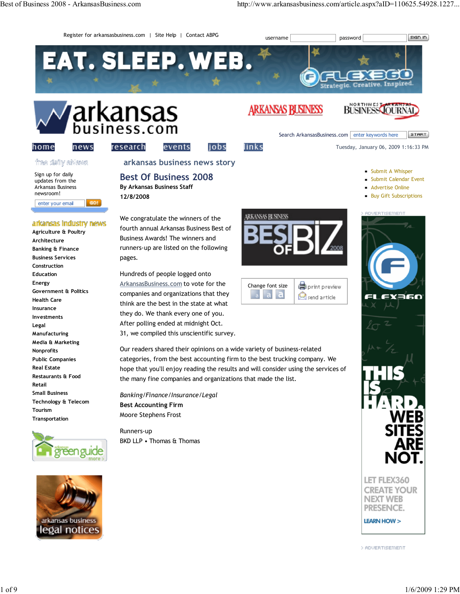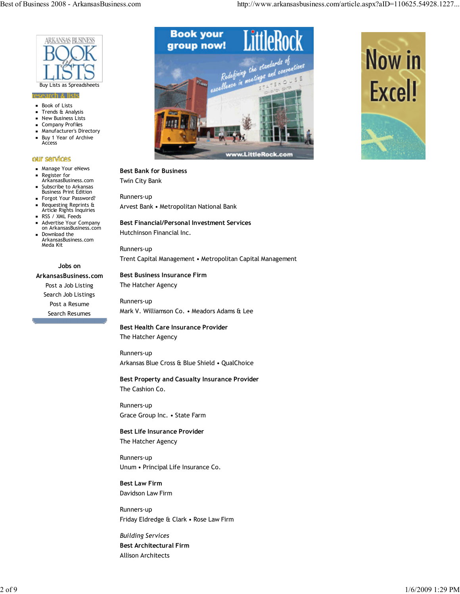

#### earch & lists

- **Book of Lists**
- Trends & Analysis
- New Business Lists
- Company Profiles
- Manufacturer's Directory Buy 1 Year of Archive **Access**

#### our services

- **Manage Your eNews**
- Register for ArkansasBusiness.com
- Subscribe to Arkansas Business Print Edition
- Forgot Your Password?
- Requesting Reprints & Article Rights Inquiries
- RSS / XML Feeds

Meda Kit

Advertise Your Company on ArkansasBusiness.com Download the ArkansasBusiness.com

#### Jobs on

ArkansasBusiness.com Post a Job Listing Search Job Listings Post a Resume Search Resumes



### Best Bank for Business

Twin City Bank

Runners-up Arvest Bank • Metropolitan National Bank

## Best Financial/Personal Investment Services

Hutchinson Financial Inc.

Runners-up Trent Capital Management • Metropolitan Capital Management

# Best Business Insurance Firm

The Hatcher Agency

Runners-up Mark V. Williamson Co. • Meadors Adams & Lee

## Best Health Care Insurance Provider The Hatcher Agency

Runners-up Arkansas Blue Cross & Blue Shield • QualChoice

## Best Property and Casualty Insurance Provider

The Cashion Co.

Runners-up Grace Group Inc. • State Farm

Best Life Insurance Provider The Hatcher Agency

Runners-up Unum • Principal Life Insurance Co.

Best Law Firm Davidson Law Firm

Runners-up Friday Eldredge & Clark • Rose Law Firm

Building Services Best Architectural Firm Allison Architects

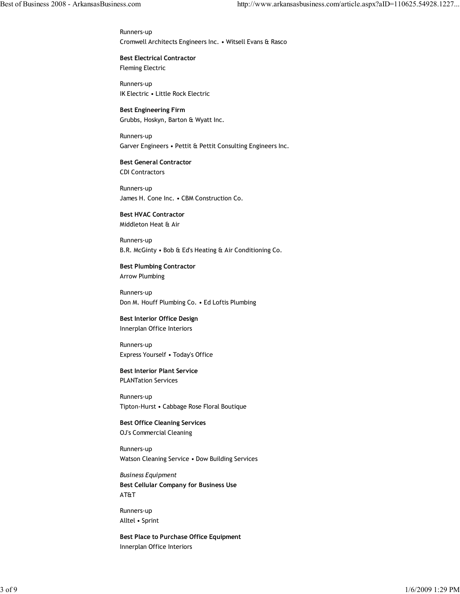Runners-up Cromwell Architects Engineers Inc. • Witsell Evans & Rasco

Best Electrical Contractor Fleming Electric

Runners-up IK Electric • Little Rock Electric

Best Engineering Firm Grubbs, Hoskyn, Barton & Wyatt Inc.

Runners-up Garver Engineers • Pettit & Pettit Consulting Engineers Inc.

Best General Contractor CDI Contractors

Runners-up James H. Cone Inc. • CBM Construction Co.

Best HVAC Contractor Middleton Heat & Air

Runners-up B.R. McGinty • Bob & Ed's Heating & Air Conditioning Co.

Best Plumbing Contractor Arrow Plumbing

Runners-up Don M. Houff Plumbing Co. • Ed Loftis Plumbing

Best Interior Office Design Innerplan Office Interiors

Runners-up Express Yourself • Today's Office

Best Interior Plant Service PLANTation Services

Runners-up Tipton-Hurst • Cabbage Rose Floral Boutique

Best Office Cleaning Services OJ's Commercial Cleaning

Runners-up Watson Cleaning Service • Dow Building Services

Business Equipment Best Cellular Company for Business Use AT&T

Runners-up Alltel • Sprint

Best Place to Purchase Office Equipment Innerplan Office Interiors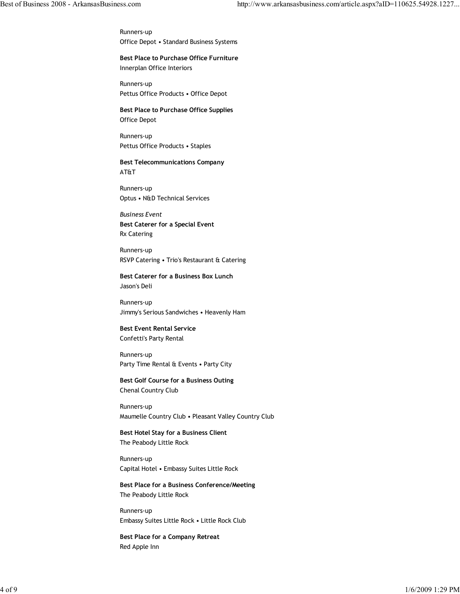Runners-up Office Depot • Standard Business Systems

Best Place to Purchase Office Furniture Innerplan Office Interiors

Runners-up Pettus Office Products • Office Depot

Best Place to Purchase Office Supplies Office Depot

Runners-up Pettus Office Products • Staples

Best Telecommunications Company AT&T

Runners-up Optus • N&D Technical Services

Business Event Best Caterer for a Special Event Rx Catering

Runners-up RSVP Catering • Trio's Restaurant & Catering

Best Caterer for a Business Box Lunch Jason's Deli

Runners-up Jimmy's Serious Sandwiches • Heavenly Ham

Best Event Rental Service Confetti's Party Rental

Runners-up Party Time Rental & Events • Party City

Best Golf Course for a Business Outing Chenal Country Club

Runners-up Maumelle Country Club • Pleasant Valley Country Club

Best Hotel Stay for a Business Client The Peabody Little Rock

Runners-up Capital Hotel • Embassy Suites Little Rock

Best Place for a Business Conference/Meeting The Peabody Little Rock

Runners-up Embassy Suites Little Rock • Little Rock Club

Best Place for a Company Retreat Red Apple Inn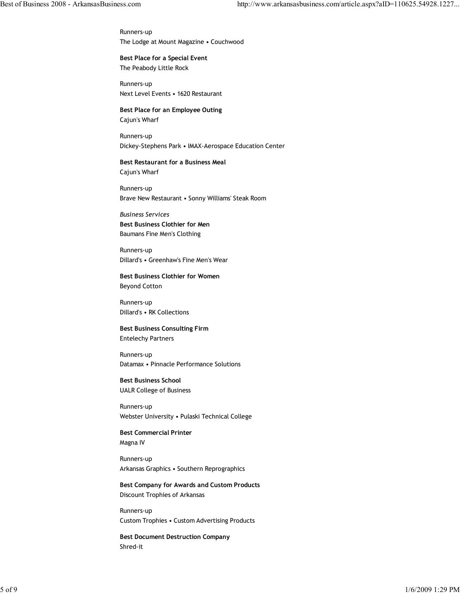Runners-up The Lodge at Mount Magazine • Couchwood

Best Place for a Special Event The Peabody Little Rock

Runners-up Next Level Events • 1620 Restaurant

Best Place for an Employee Outing Cajun's Wharf

Runners-up Dickey-Stephens Park • IMAX-Aerospace Education Center

Best Restaurant for a Business Meal Cajun's Wharf

Runners-up Brave New Restaurant • Sonny Williams' Steak Room

Business Services Best Business Clothier for Men Baumans Fine Men's Clothing

Runners-up Dillard's • Greenhaw's Fine Men's Wear

Best Business Clothier for Women Beyond Cotton

Runners-up Dillard's • RK Collections

Best Business Consulting Firm Entelechy Partners

Runners-up Datamax • Pinnacle Performance Solutions

Best Business School UALR College of Business

Runners-up Webster University • Pulaski Technical College

Best Commercial Printer Magna IV

Runners-up Arkansas Graphics • Southern Reprographics

Best Company for Awards and Custom Products Discount Trophies of Arkansas

Runners-up Custom Trophies • Custom Advertising Products

Best Document Destruction Company Shred-it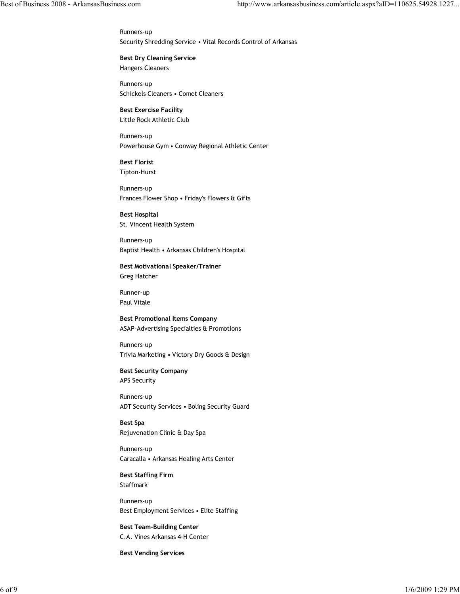Runners-up Security Shredding Service • Vital Records Control of Arkansas

Best Dry Cleaning Service Hangers Cleaners

Runners-up Schickels Cleaners • Comet Cleaners

Best Exercise Facility Little Rock Athletic Club

Runners-up Powerhouse Gym • Conway Regional Athletic Center

Best Florist Tipton-Hurst

Runners-up Frances Flower Shop • Friday's Flowers & Gifts

Best Hospital St. Vincent Health System

Runners-up Baptist Health • Arkansas Children's Hospital

Best Motivational Speaker/Trainer Greg Hatcher

Runner-up Paul Vitale

Best Promotional Items Company ASAP-Advertising Specialties & Promotions

Runners-up Trivia Marketing • Victory Dry Goods & Design

Best Security Company APS Security

Runners-up ADT Security Services • Boling Security Guard

Best Spa Rejuvenation Clinic & Day Spa

Runners-up Caracalla • Arkansas Healing Arts Center

Best Staffing Firm Staffmark

Runners-up Best Employment Services • Elite Staffing

Best Team-Building Center C.A. Vines Arkansas 4-H Center

Best Vending Services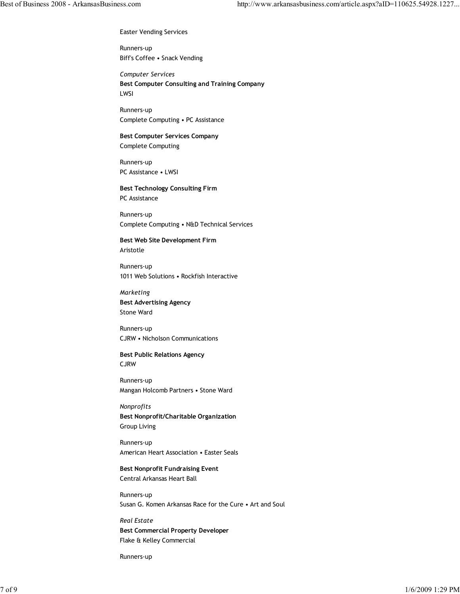Easter Vending Services

Runners-up Biff's Coffee • Snack Vending

Computer Services Best Computer Consulting and Training Company LWSI

Runners-up Complete Computing • PC Assistance

Best Computer Services Company Complete Computing

Runners-up PC Assistance • LWSI

Best Technology Consulting Firm PC Assistance

Runners-up Complete Computing • N&D Technical Services

Best Web Site Development Firm Aristotle

Runners-up 1011 Web Solutions • Rockfish Interactive

Marketing Best Advertising Agency Stone Ward

Runners-up CJRW • Nicholson Communications

Best Public Relations Agency CJRW

Runners-up Mangan Holcomb Partners • Stone Ward

Nonprofits Best Nonprofit/Charitable Organization Group Living

Runners-up American Heart Association • Easter Seals

Best Nonprofit Fundraising Event Central Arkansas Heart Ball

Runners-up Susan G. Komen Arkansas Race for the Cure • Art and Soul

Real Estate Best Commercial Property Developer Flake & Kelley Commercial

Runners-up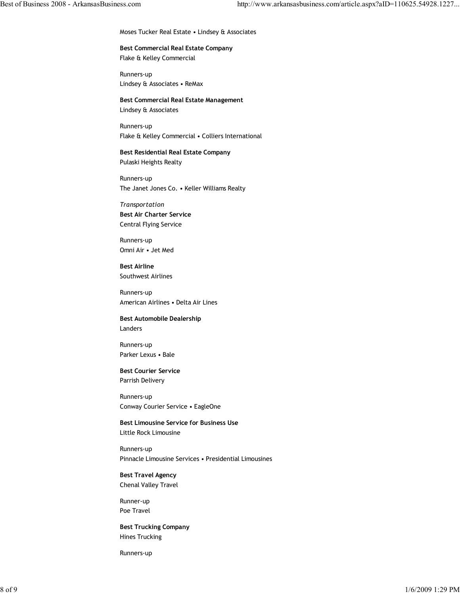Moses Tucker Real Estate • Lindsey & Associates

Best Commercial Real Estate Company Flake & Kelley Commercial

Runners-up Lindsey & Associates • ReMax

Best Commercial Real Estate Management Lindsey & Associates

Runners-up Flake & Kelley Commercial • Colliers International

Best Residential Real Estate Company Pulaski Heights Realty

Runners-up The Janet Jones Co. • Keller Williams Realty

Transportation Best Air Charter Service Central Flying Service

Runners-up Omni Air • Jet Med

Best Airline Southwest Airlines

Runners-up American Airlines • Delta Air Lines

Best Automobile Dealership Landers

Runners-up Parker Lexus • Bale

Best Courier Service Parrish Delivery

Runners-up Conway Courier Service • EagleOne

Best Limousine Service for Business Use Little Rock Limousine

Runners-up Pinnacle Limousine Services • Presidential Limousines

Best Travel Agency Chenal Valley Travel

Runner-up Poe Travel

Best Trucking Company Hines Trucking

Runners-up